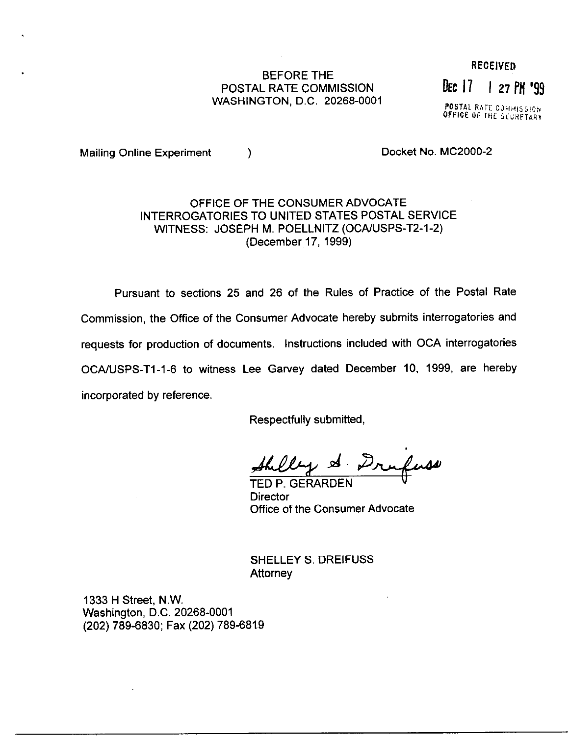## BEFORE THE POSTAL RATE COMMISSION DEC 17 1 27 PM '99 WASHINGTON, D.C. 20268-0001

**RECEIVED** 

POSTAL RATE COMMISSIO OFFICE OF THE SECRETARY

Mailing Online Experiment (a) and the Docket No. MC2000-2

## OFFICE OF THE CONSUMER ADVOCATE INTERROGATORIES TO UNITED STATES POSTAL SERVICE WITNESS: JOSEPH M. POELLNITZ (OCA/USPS-T2-1-2) (December 17, 1999)

Pursuant to sections 25 and 26 of the Rules of Practice of the Postal Rate Commission, the Office of the Consumer Advocate hereby submits interrogatories and requests for production of documents. Instructions included with OCA interrogatories OCAIUSPS-Tl-1-6 to witness Lee Garvey dated December 10, 1999, are hereby incorporated by reference.

Respectfully submitted,

Shilly & Drufuse

**Director** Office of the Consumer Advocate

SHELLEY S. DREIFUSS **Attorney** 

1333 H Street, N.W. Washington, D.C. 20268-0001 (202) 789-6830; Fax (202) 789-6829